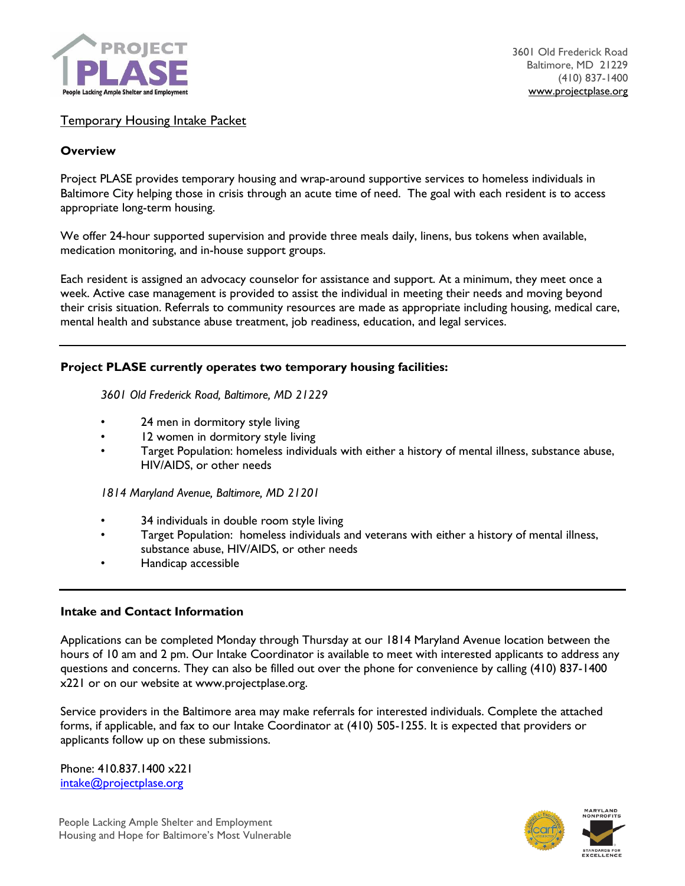

# Temporary Housing Intake Packet

#### **Overview**

Project PLASE provides temporary housing and wrap-around supportive services to homeless individuals in Baltimore City helping those in crisis through an acute time of need. The goal with each resident is to access appropriate long-term housing.

We offer 24-hour supported supervision and provide three meals daily, linens, bus tokens when available, medication monitoring, and in-house support groups.

Each resident is assigned an advocacy counselor for assistance and support. At a minimum, they meet once a week. Active case management is provided to assist the individual in meeting their needs and moving beyond their crisis situation. Referrals to community resources are made as appropriate including housing, medical care, mental health and substance abuse treatment, job readiness, education, and legal services.

#### **Project PLASE currently operates two temporary housing facilities:**

*3601 Old Frederick Road, Baltimore, MD 21229*

- 24 men in dormitory style living
- 12 women in dormitory style living
- Target Population: homeless individuals with either a history of mental illness, substance abuse, HIV/AIDS, or other needs

*1814 Maryland Avenue, Baltimore, MD 21201*

- 34 individuals in double room style living
- Target Population: homeless individuals and veterans with either a history of mental illness, substance abuse, HIV/AIDS, or other needs
- Handicap accessible

#### **Intake and Contact Information**

Applications can be completed Monday through Thursday at our 1814 Maryland Avenue location between the hours of 10 am and 2 pm. Our Intake Coordinator is available to meet with interested applicants to address any questions and concerns. They can also be filled out over the phone for convenience by calling (410) 837-1400 x221 or on our website at www.projectplase.org.

Service providers in the Baltimore area may make referrals for interested individuals. Complete the attached forms, if applicable, and fax to our Intake Coordinator at (410) 505-1255. It is expected that providers or applicants follow up on these submissions.

Phone: 410.837.1400 x221 [intake@projectplase.org](mailto:intake@projectplase.org)

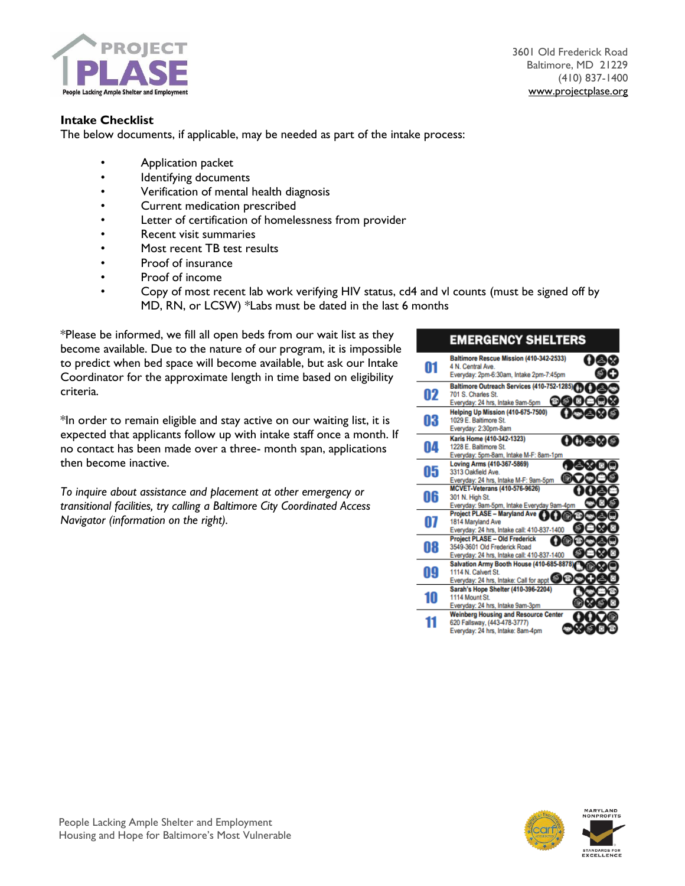

3601 Old Frederick Road Baltimore, MD 21229 (410) 837-1400 [www.projectplase.org](http://www.projectplase.org/)

# **Intake Checklist**

The below documents, if applicable, may be needed as part of the intake process:

- Application packet
- Identifying documents
- Verification of mental health diagnosis
- Current medication prescribed
- Letter of certification of homelessness from provider
- Recent visit summaries
- Most recent TB test results
- Proof of insurance
- Proof of income
- Copy of most recent lab work verifying HIV status, cd4 and vl counts (must be signed off by MD, RN, or LCSW) \*Labs must be dated in the last 6 months

\*Please be informed, we fill all open beds from our wait list as they become available. Due to the nature of our program, it is impossible to predict when bed space will become available, but ask our Intake Coordinator for the approximate length in time based on eligibility criteria.

\*In order to remain eligible and stay active on our waiting list, it is expected that applicants follow up with intake staff once a month. If no contact has been made over a three- month span, applications then become inactive.

*To inquire about assistance and placement at other emergency or transitional facilities, try calling a Baltimore City Coordinated Access Navigator (information on the right).* 

#### **EMERGENCY SHELTERS** Baltimore Rescue Mission (410-342-2533) 08R 01 4 N. Central Ave. சை Everyday: 2pm-6:30am, Intake 2pm-7:45pm Baltimore Outreach Services (410-752-1285) 02 701 S. Charles St. **@@@@** Everyday: 24 hrs, Intake 9am-5pm Helping Up Mission (410-675-7500) 03 1029 E. Baltimore St. Everyday: 2:30pm-8am Karis Home (410-342-1323) 00er 04 1228 E. Baltimore St. Everyday: 5pm-8am, Intake M-F: 8am-1pm Loving Arms (410-367-5869) 05 3313 Oakfield Ave. Everyday: 24 hrs, Intake M-F: 9am-5pm **MCVET-Veterans (410-576-9626)** 06 301 N. High St. Sul N. High St.<br>Everyday: 9am-5pm, Intake Everyday 9am-4pm<br>Project PLASE - Maryland Ave 07 1814 Maryland Ave Everyday: 24 hrs, Intake call: 410-837-1400 **Project PLASE - Old Frederick** O 08 3549-3601 Old Frederick Road Everyday: 24 hrs, Intake call: 410-837-1400 Salvation Army Booth House (410-685-8878 09 1114 N. Calvert St. Everyday: 24 hrs, Intake: Call for appt Sarah's Hope Shelter (410-396-2204) 10 1114 Mount St. Everyday: 24 hrs, Intake 9am-3pm **Weinberg Housing and Resource Center** 11 620 Fallsway, (443-478-3777) Everyday: 24 hrs, Intake: 8am-4pm



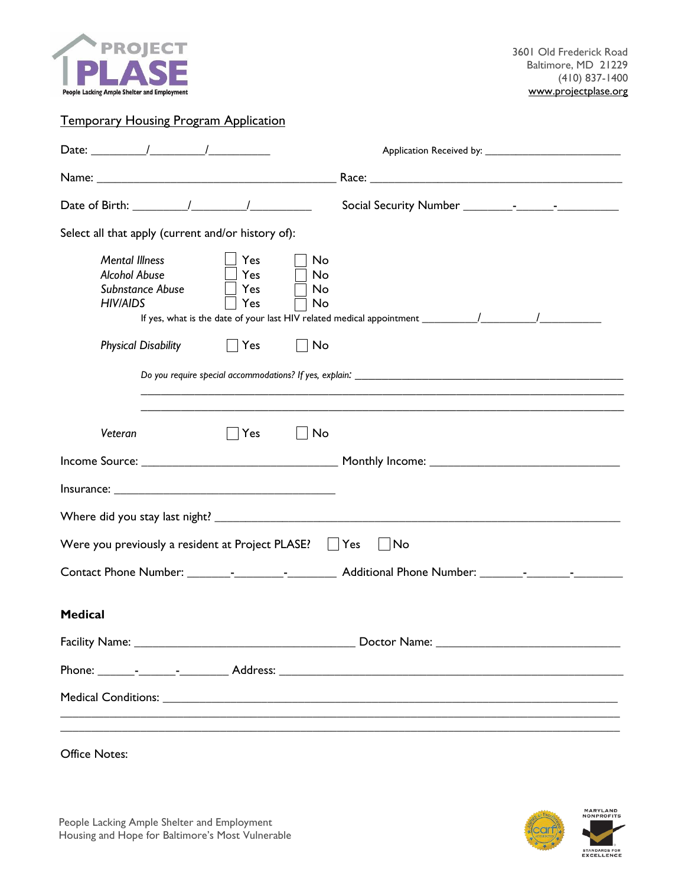

# Temporary Housing Program Application

| Date: $\frac{1}{\sqrt{2\pi}}$                                                                                                            |           |  |  |  |  |  |  |
|------------------------------------------------------------------------------------------------------------------------------------------|-----------|--|--|--|--|--|--|
|                                                                                                                                          |           |  |  |  |  |  |  |
|                                                                                                                                          |           |  |  |  |  |  |  |
| Select all that apply (current and/or history of):                                                                                       |           |  |  |  |  |  |  |
| <b>Mental Illness</b><br>Yes<br>No<br><b>Alcohol Abuse</b><br>Yes<br>No<br>Subnstance Abuse<br>Yes<br>No<br><b>HIV/AIDS</b><br>Yes<br>No |           |  |  |  |  |  |  |
| <b>Physical Disability</b><br>Yes<br>No                                                                                                  |           |  |  |  |  |  |  |
| Veteran<br>∣∣Yes<br>$\overline{\phantom{a}}$ No                                                                                          |           |  |  |  |  |  |  |
|                                                                                                                                          |           |  |  |  |  |  |  |
|                                                                                                                                          |           |  |  |  |  |  |  |
|                                                                                                                                          |           |  |  |  |  |  |  |
| Were you previously a resident at Project PLASE?                                                                                         | Yes<br>No |  |  |  |  |  |  |
|                                                                                                                                          |           |  |  |  |  |  |  |
| <b>Medical</b>                                                                                                                           |           |  |  |  |  |  |  |
|                                                                                                                                          |           |  |  |  |  |  |  |
|                                                                                                                                          |           |  |  |  |  |  |  |
|                                                                                                                                          |           |  |  |  |  |  |  |
|                                                                                                                                          |           |  |  |  |  |  |  |
| <b>Office Notes:</b>                                                                                                                     |           |  |  |  |  |  |  |

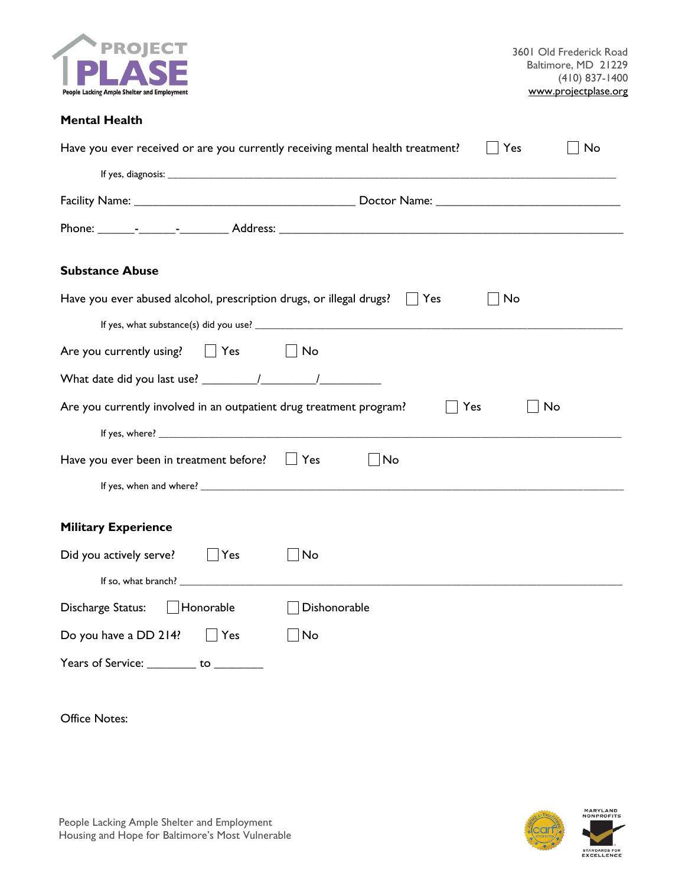

# **Mental Health**

| Have you ever received or are you currently receiving mental health treatment?<br>No<br>Yes |  |  |  |  |
|---------------------------------------------------------------------------------------------|--|--|--|--|
|                                                                                             |  |  |  |  |
|                                                                                             |  |  |  |  |
|                                                                                             |  |  |  |  |
| <b>Substance Abuse</b>                                                                      |  |  |  |  |
| Have you ever abused alcohol, prescription drugs, or illegal drugs?<br>No<br>Yes            |  |  |  |  |
|                                                                                             |  |  |  |  |
| Are you currently using? $\Box$ Yes<br>$\vert$ $\vert$ No                                   |  |  |  |  |
|                                                                                             |  |  |  |  |
| Are you currently involved in an outpatient drug treatment program?<br>No<br>Yes            |  |  |  |  |
|                                                                                             |  |  |  |  |
| Have you ever been in treatment before? $\Box$ Yes<br>No                                    |  |  |  |  |
|                                                                                             |  |  |  |  |
| <b>Military Experience</b>                                                                  |  |  |  |  |
| Did you actively serve?   Yes<br>No                                                         |  |  |  |  |
|                                                                                             |  |  |  |  |
| Discharge Status:   Honorable<br>Dishonorable                                               |  |  |  |  |
| Do you have a DD 214?<br>Yes<br>No                                                          |  |  |  |  |
| Years of Service: __________ to ________                                                    |  |  |  |  |

Office Notes:

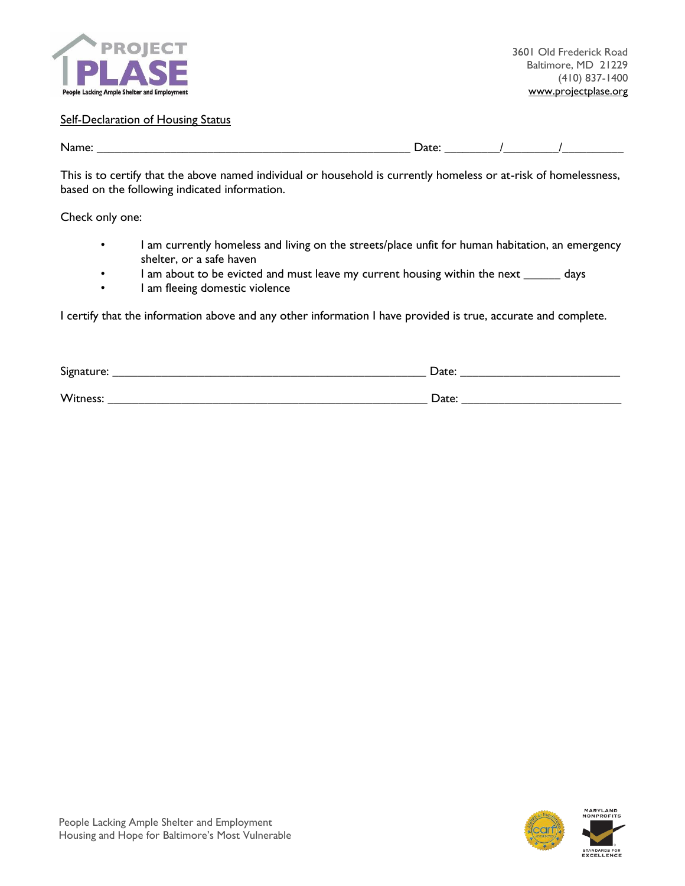

#### **Self-Declaration of Housing Status**

Name: \_\_\_\_\_\_\_\_\_\_\_\_\_\_\_\_\_\_\_\_\_\_\_\_\_\_\_\_\_\_\_\_\_\_\_\_\_\_\_\_\_\_\_\_\_\_\_\_\_\_\_ Date: \_\_\_\_\_\_\_\_\_/\_\_\_\_\_\_\_\_\_/\_\_\_\_\_\_\_\_\_\_

This is to certify that the above named individual or household is currently homeless or at-risk of homelessness, based on the following indicated information.

Check only one:

- I am currently homeless and living on the streets/place unfit for human habitation, an emergency shelter, or a safe haven
- I am about to be evicted and must leave my current housing within the next \_\_\_\_\_\_ days
- I am fleeing domestic violence

I certify that the information above and any other information I have provided is true, accurate and complete.

| Signature: | Date: |
|------------|-------|
| Witness:   | Date: |



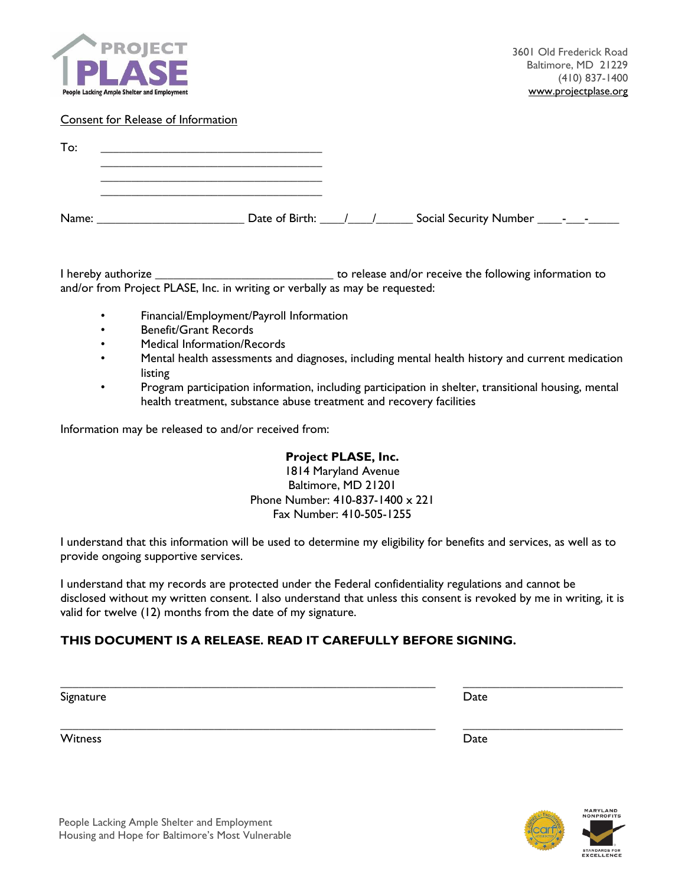

#### Consent for Release of Information

| To:   |                    |  |  |  |
|-------|--------------------|--|--|--|
|       |                    |  |  |  |
| Name: | Date of Birth: / / |  |  |  |

I hereby authorize \_\_\_\_\_\_\_\_\_\_\_\_\_\_\_\_\_\_\_\_\_\_\_\_\_\_\_\_\_ to release and/or receive the following information to and/or from Project PLASE, Inc. in writing or verbally as may be requested:

- Financial/Employment/Payroll Information
- Benefit/Grant Records
- Medical Information/Records
- Mental health assessments and diagnoses, including mental health history and current medication listing
- Program participation information, including participation in shelter, transitional housing, mental health treatment, substance abuse treatment and recovery facilities

Information may be released to and/or received from:

# **Project PLASE, Inc.**

1814 Maryland Avenue Baltimore, MD 21201 Phone Number: 410-837-1400 x 221 Fax Number: 410-505-1255

I understand that this information will be used to determine my eligibility for benefits and services, as well as to provide ongoing supportive services.

I understand that my records are protected under the Federal confidentiality regulations and cannot be disclosed without my written consent. I also understand that unless this consent is revoked by me in writing, it is valid for twelve (12) months from the date of my signature.

\_\_\_\_\_\_\_\_\_\_\_\_\_\_\_\_\_\_\_\_\_\_\_\_\_\_\_\_\_\_\_\_\_\_\_\_\_\_\_\_\_\_\_\_\_\_\_\_\_\_\_\_\_\_\_\_\_\_\_\_\_ \_\_\_\_\_\_\_\_\_\_\_\_\_\_\_\_\_\_\_\_\_\_\_\_\_\_

\_\_\_\_\_\_\_\_\_\_\_\_\_\_\_\_\_\_\_\_\_\_\_\_\_\_\_\_\_\_\_\_\_\_\_\_\_\_\_\_\_\_\_\_\_\_\_\_\_\_\_\_\_\_\_\_\_\_\_\_\_ \_\_\_\_\_\_\_\_\_\_\_\_\_\_\_\_\_\_\_\_\_\_\_\_\_\_

# **THIS DOCUMENT IS A RELEASE. READ IT CAREFULLY BEFORE SIGNING.**

Signature **Date** 

witness **Date**